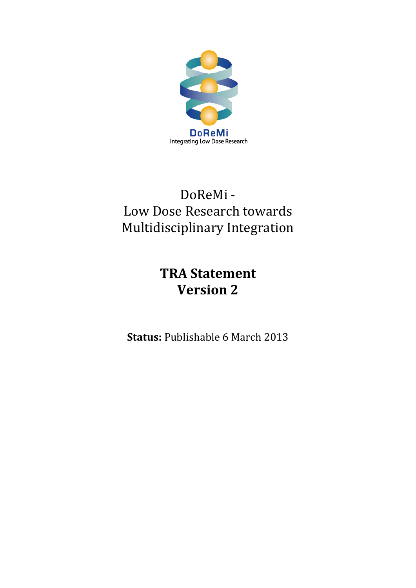

# DoReMi - Low Dose Research towards Multidisciplinary Integration

# **TRA Statement Version 2**

**Status:** Publishable 6 March 2013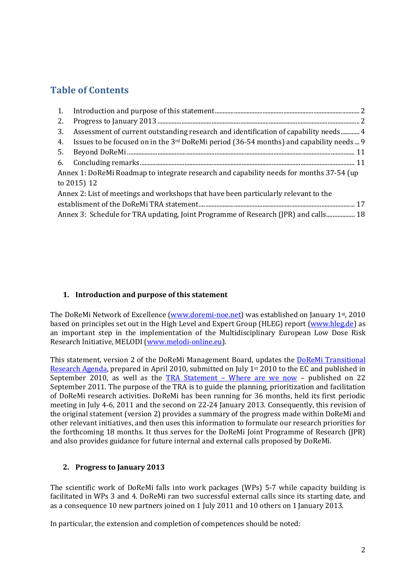# **Table of Contents**

| 2.                                                                                       |                                                                                              |  |  |  |
|------------------------------------------------------------------------------------------|----------------------------------------------------------------------------------------------|--|--|--|
| 3.                                                                                       | Assessment of current outstanding research and identification of capability needs 4          |  |  |  |
| 4.                                                                                       | Issues to be focused on in the $3^{rd}$ DoReMi period (36-54 months) and capability needs  9 |  |  |  |
| 5.                                                                                       |                                                                                              |  |  |  |
|                                                                                          |                                                                                              |  |  |  |
| Annex 1: DoReMi Roadmap to integrate research and capability needs for months 37-54 (up) |                                                                                              |  |  |  |
| to 2015) 12                                                                              |                                                                                              |  |  |  |
| Annex 2: List of meetings and workshops that have been particularly relevant to the      |                                                                                              |  |  |  |
|                                                                                          |                                                                                              |  |  |  |
| Annex 3: Schedule for TRA updating, Joint Programme of Research (JPR) and calls 18       |                                                                                              |  |  |  |

# <span id="page-1-0"></span>**1. Introduction and purpose of this statement**

The DoReMi Network of Excellence [\(www.doremi-noe.net\)](file:///C:\Documents%20and%20Settings\simon.Bouffler\Local%20Settings\Temporary%20Internet%20Files\Content.Outlook\13FFJ5G2\averbeck-die\Local%20Settings\Local%20Settings\Temporary%20Internet%20Files\Content.Outlook\EU2ME8Q4\DoReMi\Local%20Settings\Temporary%20Internet%20Files\OLK5\www.doremi-noe.net) was established on January 1st, 2010 based on principles set out in the High Level and Expert Group (HLEG) report [\(www.hleg.de\)](http://www.hleg.de/) as an important step in the implementation of the Multidisciplinary European Low Dose Risk Research Initiative, MELODI [\(www.melodi-online.eu\)](http://www.melodi-online.eu/).

This statement, version 2 of the DoReMi Management Board, updates the [DoReMi Transitional](http://www.doremi-noe.net/pdf/doremi_TRA/DoReMi_TRA_publishable_2010-09-20.pdf)  [Research Agenda,](http://www.doremi-noe.net/pdf/doremi_TRA/DoReMi_TRA_publishable_2010-09-20.pdf) prepared in April 2010, submitted on July 1<sup>st</sup> 2010 to the EC and published in September 2010, as well as the TRA Statement – [Where are we now](http://www.doremi-noe.net/pdf/doremi_TRA/DoReMi_TRA_Statement_Final_2011-09-22.pdf) – published on 22 September 2011. The purpose of the TRA is to guide the planning, prioritization and facilitation of DoReMi research activities. DoReMi has been running for 36 months, held its first periodic meeting in July 4-6, 2011 and the second on 22-24 January 2013. Consequently, this revision of the original statement (version 2) provides a summary of the progress made within DoReMi and other relevant initiatives, and then uses this information to formulate our research priorities for the forthcoming 18 months. It thus serves for the DoReMi Joint Programme of Research (JPR) and also provides guidance for future internal and external calls proposed by DoReMi.

#### <span id="page-1-1"></span>**2. Progress to January 2013**

The scientific work of DoReMi falls into work packages (WPs) 5-7 while capacity building is facilitated in WPs 3 and 4. DoReMi ran two successful external calls since its starting date, and as a consequence 10 new partners joined on 1 July 2011 and 10 others on 1 January 2013.

In particular, the extension and completion of competences should be noted: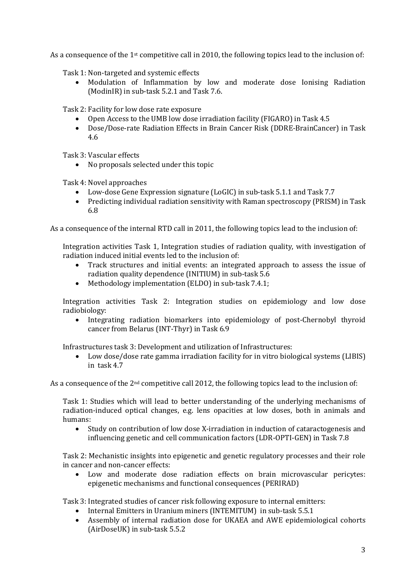As a consequence of the 1st competitive call in 2010, the following topics lead to the inclusion of:

Task 1: Non-targeted and systemic effects

• Modulation of Inflammation by low and moderate dose Ionising Radiation (ModinIR) in sub-task 5.2.1 and Task 7.6.

Task 2: Facility for low dose rate exposure

- Open Access to the UMB low dose irradiation facility (FIGARO) in Task 4.5<br>• Dose/Dose-rate Radiation Effects in Brain Cancer Risk (DDRE-BrainCance
- Dose/Dose-rate Radiation Effects in Brain Cancer Risk (DDRE-BrainCancer) in Task 4.6

Task 3: Vascular effects

• No proposals selected under this topic

Task 4: Novel approaches

- Low-dose Gene Expression signature (LoGIC) in sub-task 5.1.1 and Task 7.7
- Predicting individual radiation sensitivity with Raman spectroscopy (PRISM) in Task 6.8

As a consequence of the internal RTD call in 2011, the following topics lead to the inclusion of:

Integration activities Task 1, Integration studies of radiation quality, with investigation of radiation induced initial events led to the inclusion of:

- Track structures and initial events: an integrated approach to assess the issue of radiation quality dependence (INITIUM) in sub-task 5.6
- Methodology implementation (ELDO) in sub-task 7.4.1;

Integration activities Task 2: Integration studies on epidemiology and low dose radiobiology:

• Integrating radiation biomarkers into epidemiology of post-Chernobyl thyroid cancer from Belarus (INT-Thyr) in Task 6.9

Infrastructures task 3: Development and utilization of Infrastructures:

• Low dose/dose rate gamma irradiation facility for in vitro biological systems (LIBIS) in task 4.7

As a consequence of the 2<sup>nd</sup> competitive call 2012, the following topics lead to the inclusion of:

Task 1: Studies which will lead to better understanding of the underlying mechanisms of radiation-induced optical changes, e.g. lens opacities at low doses, both in animals and humans:

• Study on contribution of low dose X-irradiation in induction of cataractogenesis and influencing genetic and cell communication factors (LDR-OPTI-GEN) in Task 7.8

Task 2: Mechanistic insights into epigenetic and genetic regulatory processes and their role in cancer and non-cancer effects:

Low and moderate dose radiation effects on brain microvascular pericytes: epigenetic mechanisms and functional consequences (PERIRAD)

Task 3: Integrated studies of cancer risk following exposure to internal emitters:

- Internal Emitters in Uranium miners (INTEMITUM) in sub-task 5.5.1<br>• Assembly of internal radiation dose for UKAEA and AWE enidemic
- Assembly of internal radiation dose for UKAEA and AWE epidemiological cohorts (AirDoseUK) in sub-task 5.5.2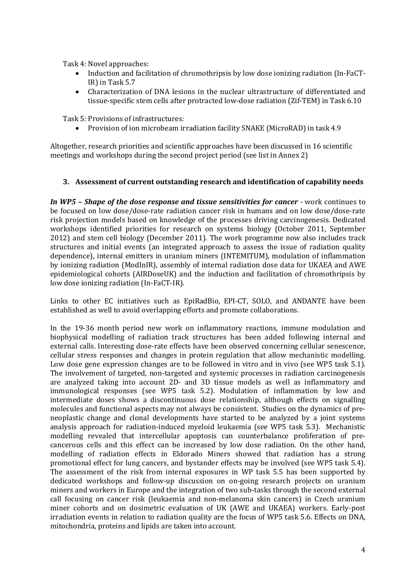Task 4: Novel approaches:

- Induction and facilitation of chromothripsis by low dose ionizing radiation (In-FaCT-IR) in Task 5.7
- Characterization of DNA lesions in the nuclear ultrastructure of differentiated and tissue-specific stem cells after protracted low-dose radiation (Zif-TEM) in Task 6.10

Task 5: Provisions of infrastructures:

• Provision of ion microbeam irradiation facility SNAKE (MicroRAD) in task 4.9

Altogether, research priorities and scientific approaches have been discussed in 16 scientific meetings and workshops during the second project period (see list in Annex 2)

#### <span id="page-3-0"></span>**3. Assessment of current outstanding research and identification of capability needs**

*In WP5 – Shape of the dose response and tissue sensitivities for cancer -* work continues to be focused on low dose/dose-rate radiation cancer risk in humans and on low dose/dose-rate risk projection models based on knowledge of the processes driving carcinogenesis. Dedicated workshops identified priorities for research on systems biology (October 2011, September 2012) and stem cell biology (December 2011). The work programme now also includes track structures and initial events (an integrated approach to assess the issue of radiation quality dependence), internal emitters in uranium miners (INTEMITUM), modulation of inflammation by ionizing radiation (ModInIR), assembly of internal radiation dose data for UKAEA and AWE epidemiological cohorts (AIRDoseUK) and the induction and facilitation of chromothripsis by low dose ionizing radiation (In-FaCT-IR).

Links to other EC initiatives such as EpiRadBio, EPI-CT, SOLO, and ANDANTE have been established as well to avoid overlapping efforts and promote collaborations.

In the 19-36 month period new work on inflammatory reactions, immune modulation and biophysical modelling of radiation track structures has been added following internal and external calls. Interesting dose-rate effects have been observed concerning cellular senescence, cellular stress responses and changes in protein regulation that allow mechanistic modelling. Low dose gene expression changes are to be followed in vitro and in vivo (see WP5 task 5.1). The involvement of targeted, non-targeted and systemic processes in radiation carcinogenesis are analyzed taking into account 2D- and 3D tissue models as well as inflammatory and immunological responses (see WP5 task 5.2). Modulation of inflammation by low and intermediate doses shows a discontinuous dose relationship, although effects on signalling molecules and functional aspects may not always be consistent. Studies on the dynamics of preneoplastic change and clonal developments have started to be analyzed by a joint systems analysis approach for radiation-induced myeloid leukaemia (see WP5 task 5.3). Mechanistic modelling revealed that intercellular apoptosis can counterbalance proliferation of precancerous cells and this effect can be increased by low dose radiation. On the other hand, modelling of radiation effects in Eldorado Miners showed that radiation has a strong promotional effect for lung cancers, and bystander effects may be involved (see WP5 task 5.4). The assessment of the risk from internal exposures in WP task 5.5 has been supported by dedicated workshops and follow-up discussion on on-going research projects on uranium miners and workers in Europe and the integration of two sub-tasks through the second external call focusing on cancer risk (leukaemia and non-melanoma skin cancers) in Czech uranium miner cohorts and on dosimetric evaluation of UK (AWE and UKAEA) workers. Early-post irradiation events in relation to radiation quality are the focus of WP5 task 5.6. Effects on DNA, mitochondria, proteins and lipids are taken into account.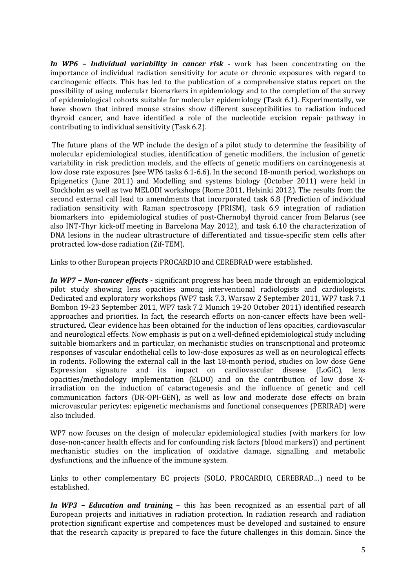*In WP6 – Individual variability in cancer risk -* work has been concentrating on the importance of individual radiation sensitivity for acute or chronic exposures with regard to carcinogenic effects. This has led to the publication of a comprehensive status report on the possibility of using molecular biomarkers in epidemiology and to the completion of the survey of epidemiological cohorts suitable for molecular epidemiology (Task 6.1). Experimentally, we have shown that inbred mouse strains show different susceptibilities to radiation induced thyroid cancer, and have identified a role of the nucleotide excision repair pathway in contributing to individual sensitivity (Task 6.2).

The future plans of the WP include the design of a pilot study to determine the feasibility of molecular epidemiological studies, identification of genetic modifiers, the inclusion of genetic variability in risk prediction models, and the effects of genetic modifiers on carcinogenesis at low dose rate exposures (see WP6 tasks 6.1-6.6). In the second 18-month period, workshops on Epigenetics (June 2011) and Modelling and systems biology (October 2011) were held in Stockholm as well as two MELODI workshops (Rome 2011, Helsinki 2012). The results from the second external call lead to amendments that incorporated task 6.8 (Prediction of individual radiation sensitivity with Raman spectroscopy (PRISM), task 6.9 integration of radiation biomarkers into epidemiological studies of post-Chernobyl thyroid cancer from Belarus (see also INT-Thyr kick-off meeting in Barcelona May 2012), and task 6.10 the characterization of DNA lesions in the nuclear ultrastructure of differentiated and tissue-specific stem cells after protracted low-dose radiation (Zif-TEM).

Links to other European projects PROCARDIO and CEREBRAD were established.

*In WP7 – Non-cancer effect***s** - significant progress has been made through an epidemiological pilot study showing lens opacities among interventional radiologists and cardiologists. Dedicated and exploratory workshops (WP7 task 7.3, Warsaw 2 September 2011, WP7 task 7.1 Bombon 19-23 September 2011, WP7 task 7.2 Munich 19-20 October 2011) identified research approaches and priorities. In fact, the research efforts on non-cancer effects have been wellstructured. Clear evidence has been obtained for the induction of lens opacities, cardiovascular and neurological effects. Now emphasis is put on a well-defined epidemiological study including suitable biomarkers and in particular, on mechanistic studies on transcriptional and proteomic responses of vascular endothelial cells to low-dose exposures as well as on neurological effects in rodents. Following the external call in the last 18-month period, studies on low dose Gene<br>Expression signature and its impact on cardiovascular disease (LoGiC), lens signature and its impact on cardiovascular opacities/methodology implementation (ELDO) and on the contribution of low dose Xirradiation on the induction of cataractogenesis and the influence of genetic and cell communication factors (DR-OPI-GEN), as well as low and moderate dose effects on brain microvascular pericytes: epigenetic mechanisms and functional consequences (PERIRAD) were also included.

WP7 now focuses on the design of molecular epidemiological studies (with markers for low dose-non-cancer health effects and for confounding risk factors (blood markers)) and pertinent mechanistic studies on the implication of oxidative damage, signalling, and metabolic dysfunctions, and the influence of the immune system.

Links to other complementary EC projects (SOLO, PROCARDIO, CEREBRAD…) need to be established.

*In WP3 – Education and trainin***g** – this has been recognized as an essential part of all European projects and initiatives in radiation protection. In radiation research and radiation protection significant expertise and competences must be developed and sustained to ensure that the research capacity is prepared to face the future challenges in this domain. Since the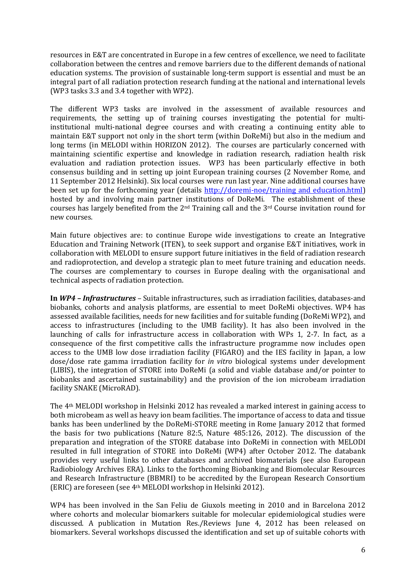resources in E&T are concentrated in Europe in a few centres of excellence, we need to facilitate collaboration between the centres and remove barriers due to the different demands of national education systems. The provision of sustainable long-term support is essential and must be an integral part of all radiation protection research funding at the national and international levels (WP3 tasks 3.3 and 3.4 together with WP2).

The different WP3 tasks are involved in the assessment of available resources and requirements, the setting up of training courses investigating the potential for multiinstitutional multi-national degree courses and with creating a continuing entity able to maintain E&T support not only in the short term (within DoReMi) but also in the medium and long terms (in MELODI within HORIZON 2012). The courses are particularly concerned with maintaining scientific expertise and knowledge in radiation research, radiation health risk evaluation and radiation protection issues. WP3 has been particularly effective in both consensus building and in setting up joint European training courses (2 November Rome, and 11 September 2012 Helsinki). Six local courses were run last year. Nine additional courses have been set up for the forthcoming year (details [http://doremi-noe/training and education.html\)](http://doremi-noe/training%20and%20education.html) hosted by and involving main partner institutions of DoReMi. The establishment of these courses has largely benefited from the  $2<sup>nd</sup>$  Training call and the  $3<sup>rd</sup>$  Course invitation round for new courses.

Main future objectives are: to continue Europe wide investigations to create an Integrative Education and Training Network (ITEN), to seek support and organise E&T initiatives, work in collaboration with MELODI to ensure support future initiatives in the field of radiation research and radioprotection, and develop a strategic plan to meet future training and education needs. The courses are complementary to courses in Europe dealing with the organisational and technical aspects of radiation protection.

**In** *WP4 – Infrastructures –* Suitable infrastructures, such as irradiation facilities, databases-and biobanks, cohorts and analysis platforms, are essential to meet DoReMi objectives. WP4 has assessed available facilities, needs for new facilities and for suitable funding (DoReMi WP2), and access to infrastructures (including to the UMB facility). It has also been involved in the launching of calls for infrastructure access in collaboration with WPs 1, 2-7. In fact, as a consequence of the first competitive calls the infrastructure programme now includes open access to the UMB low dose irradiation facility (FIGARO) and the IES facility in Japan, a low dose/dose rate gamma irradiation facility for *in vitro* biological systems under development (LIBIS), the integration of STORE into DoReMi (a solid and viable database and/or pointer to biobanks and ascertained sustainability) and the provision of the ion microbeam irradiation facility SNAKE (MicroRAD).

The 4th MELODI workshop in Helsinki 2012 has revealed a marked interest in gaining access to both microbeam as well as heavy ion beam facilities. The importance of access to data and tissue banks has been underlined by the DoReMi-STORE meeting in Rome January 2012 that formed the basis for two publications (Nature 82:5, Nature 485:126, 2012). The discussion of the preparation and integration of the STORE database into DoReMi in connection with MELODI resulted in full integration of STORE into DoReMi (WP4) after October 2012. The databank provides very useful links to other databases and archived biomaterials (see also European Radiobiology Archives ERA). Links to the forthcoming Biobanking and Biomolecular Resources and Research Infrastructure (BBMRI) to be accredited by the European Research Consortium (ERIC) are foreseen (see 4th MELODI workshop in Helsinki 2012).

WP4 has been involved in the San Feliu de Giuxols meeting in 2010 and in Barcelona 2012 where cohorts and molecular biomarkers suitable for molecular epidemiological studies were discussed. A publication in Mutation Res./Reviews June 4, 2012 has been released on biomarkers. Several workshops discussed the identification and set up of suitable cohorts with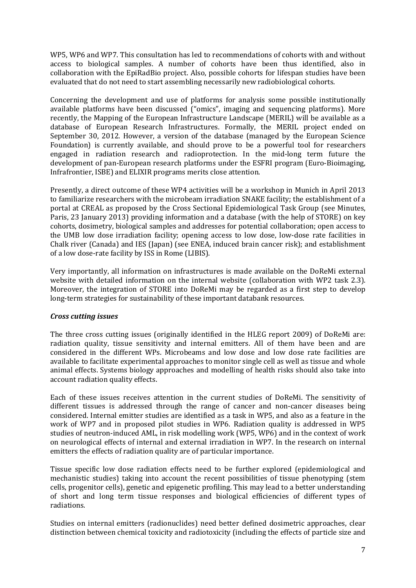WP5, WP6 and WP7. This consultation has led to recommendations of cohorts with and without access to biological samples. A number of cohorts have been thus identified, also in collaboration with the EpiRadBio project. Also, possible cohorts for lifespan studies have been evaluated that do not need to start assembling necessarily new radiobiological cohorts.

Concerning the development and use of platforms for analysis some possible institutionally available platforms have been discussed ("omics", imaging and sequencing platforms). More recently, the Mapping of the European Infrastructure Landscape (MERIL) will be available as a database of European Research Infrastructures. Formally, the MERIL project ended on September 30, 2012. However, a version of the database (managed by the European Science Foundation) is currently available, and should prove to be a powerful tool for researchers engaged in radiation research and radioprotection. In the mid-long term future the development of pan-European research platforms under the ESFRI program (Euro-Bioimaging, Infrafrontier, ISBE) and ELIXIR programs merits close attention.

Presently, a direct outcome of these WP4 activities will be a workshop in Munich in April 2013 to familiarize researchers with the microbeam irradiation SNAKE facility; the establishment of a portal at CREAL as proposed by the Cross Sectional Epidemiological Task Group (see Minutes, Paris, 23 January 2013) providing information and a database (with the help of STORE) on key cohorts, dosimetry, biological samples and addresses for potential collaboration; open access to the UMB low dose irradiation facility; opening access to low dose, low-dose rate facilities in Chalk river (Canada) and IES (Japan) (see ENEA, induced brain cancer risk); and establishment of a low dose-rate facility by ISS in Rome (LIBIS).

Very importantly, all information on infrastructures is made available on the DoReMi external website with detailed information on the internal website (collaboration with WP2 task 2.3). Moreover, the integration of STORE into DoReMi may be regarded as a first step to develop long-term strategies for sustainability of these important databank resources.

#### *Cross cutting issues*

The three cross cutting issues (originally identified in the HLEG report 2009) of DoReMi are: radiation quality, tissue sensitivity and internal emitters. All of them have been and are considered in the different WPs. Microbeams and low dose and low dose rate facilities are available to facilitate experimental approaches to monitor single cell as well as tissue and whole animal effects. Systems biology approaches and modelling of health risks should also take into account radiation quality effects.

Each of these issues receives attention in the current studies of DoReMi. The sensitivity of different tissues is addressed through the range of cancer and non-cancer diseases being considered. Internal emitter studies are identified as a task in WP5, and also as a feature in the work of WP7 and in proposed pilot studies in WP6. Radiation quality is addressed in WP5 studies of neutron-induced AML, in risk modelling work (WP5, WP6) and in the context of work on neurological effects of internal and external irradiation in WP7. In the research on internal emitters the effects of radiation quality are of particular importance.

Tissue specific low dose radiation effects need to be further explored (epidemiological and mechanistic studies) taking into account the recent possibilities of tissue phenotyping (stem cells, progenitor cells), genetic and epigenetic profiling. This may lead to a better understanding of short and long term tissue responses and biological efficiencies of different types of radiations.

Studies on internal emitters (radionuclides) need better defined dosimetric approaches, clear distinction between chemical toxicity and radiotoxicity (including the effects of particle size and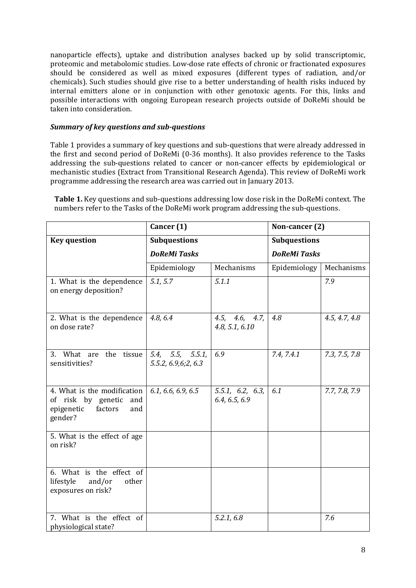nanoparticle effects), uptake and distribution analyses backed up by solid transcriptomic, proteomic and metabolomic studies. Low-dose rate effects of chronic or fractionated exposures should be considered as well as mixed exposures (different types of radiation, and/or chemicals). Such studies should give rise to a better understanding of health risks induced by internal emitters alone or in conjunction with other genotoxic agents. For this, links and possible interactions with ongoing European research projects outside of DoReMi should be taken into consideration.

#### *Summary of key questions and sub-questions*

Table 1 provides a summary of key questions and sub-questions that were already addressed in the first and second period of DoReMi (0-36 months). It also provides reference to the Tasks addressing the sub-questions related to cancer or non-cancer effects by epidemiological or mechanistic studies (Extract from Transitional Research Agenda). This review of DoReMi work programme addressing the research area was carried out in January 2013.

**Table 1.** Key questions and sub-questions addressing low dose risk in the DoReMi context. The numbers refer to the Tasks of the DoReMi work program addressing the sub-questions.

|                                                                                                     | Cancer (1)                                |                                   | Non-cancer (2)      |               |  |
|-----------------------------------------------------------------------------------------------------|-------------------------------------------|-----------------------------------|---------------------|---------------|--|
| <b>Key question</b>                                                                                 | <b>Subquestions</b>                       |                                   | <b>Subquestions</b> |               |  |
|                                                                                                     | <b>DoReMi Tasks</b>                       |                                   | <b>DoReMi Tasks</b> |               |  |
|                                                                                                     | Epidemiology                              | Mechanisms                        | Epidemiology        | Mechanisms    |  |
| 1. What is the dependence<br>on energy deposition?                                                  | 5.1, 5.7                                  | 5.1.1                             |                     | 7.9           |  |
| 2. What is the dependence<br>on dose rate?                                                          | 4.8, 6.4                                  | 4.5, 4.6, 4.7,<br>4.8, 5.1, 6.10  | 4.8                 | 4.5, 4.7, 4.8 |  |
| 3. What are<br>the tissue<br>sensitivities?                                                         | 5.4, 5.5, 5.5.1,<br>5.5.2, 6.9, 6; 2, 6.3 | 6.9                               | 7.4, 7.4.1          | 7.3, 7.5, 7.8 |  |
| 4. What is the modification<br>of risk by genetic<br>and<br>epigenetic<br>factors<br>and<br>gender? | 6.1, 6.6, 6.9, 6.5                        | 5.5.1, 6.2, 6.3,<br>6.4, 6.5, 6.9 | 6.1                 | 7.7, 7.8, 7.9 |  |
| 5. What is the effect of age<br>on risk?                                                            |                                           |                                   |                     |               |  |
| 6. What is the effect of<br>lifestyle<br>and/or<br>other<br>exposures on risk?                      |                                           |                                   |                     |               |  |
| 7. What is the effect of<br>physiological state?                                                    |                                           | 5.2.1, 6.8                        |                     | 7.6           |  |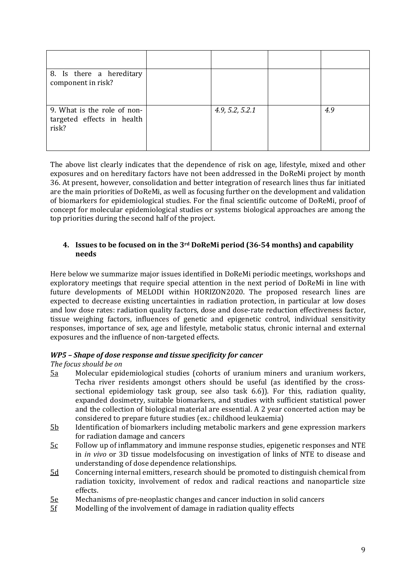| 8. Is there a hereditary<br>component in risk?                     |                 |     |
|--------------------------------------------------------------------|-----------------|-----|
| 9. What is the role of non-<br>targeted effects in health<br>risk? | 4.9, 5.2, 5.2.1 | 4.9 |

The above list clearly indicates that the dependence of risk on age, lifestyle, mixed and other exposures and on hereditary factors have not been addressed in the DoReMi project by month 36. At present, however, consolidation and better integration of research lines thus far initiated are the main priorities of DoReMi, as well as focusing further on the development and validation of biomarkers for epidemiological studies. For the final scientific outcome of DoReMi, proof of concept for molecular epidemiological studies or systems biological approaches are among the top priorities during the second half of the project.

#### <span id="page-8-0"></span>**4. Issues to be focused on in the 3rd DoReMi period (36-54 months) and capability needs**

Here below we summarize major issues identified in DoReMi periodic meetings, workshops and exploratory meetings that require special attention in the next period of DoReMi in line with future developments of MELODI within HORIZON2020. The proposed research lines are expected to decrease existing uncertainties in radiation protection, in particular at low doses and low dose rates: radiation quality factors, dose and dose-rate reduction effectiveness factor, tissue weighing factors, influences of genetic and epigenetic control, individual sensitivity responses, importance of sex, age and lifestyle, metabolic status, chronic internal and external exposures and the influence of non-targeted effects.

#### *WP5 – Shape of dose response and tissue specificity for cancer*

#### *The focus should be on*

- 5a Molecular epidemiological studies (cohorts of uranium miners and uranium workers, Techa river residents amongst others should be useful (as identified by the crosssectional epidemiology task group, see also task 6.6)). For this, radiation quality, expanded dosimetry, suitable biomarkers, and studies with sufficient statistical power and the collection of biological material are essential. A 2 year concerted action may be considered to prepare future studies (ex.: childhood leukaemia)
- 5b Identification of biomarkers including metabolic markers and gene expression markers for radiation damage and cancers
- $5c$  Follow up of inflammatory and immune response studies, epigenetic responses and NTE in *in vivo* or 3D tissue modelsfocusing on investigation of links of NTE to disease and understanding of dose dependence relationships.
- 5d Concerning internal emitters, research should be promoted to distinguish chemical from radiation toxicity, involvement of redox and radical reactions and nanoparticle size effects.
- $\frac{5e}{5f}$  Mechanisms of pre-neoplastic changes and cancer induction in solid cancers Modelling of the involvement of damage in radiation quality effects
- Modelling of the involvement of damage in radiation quality effects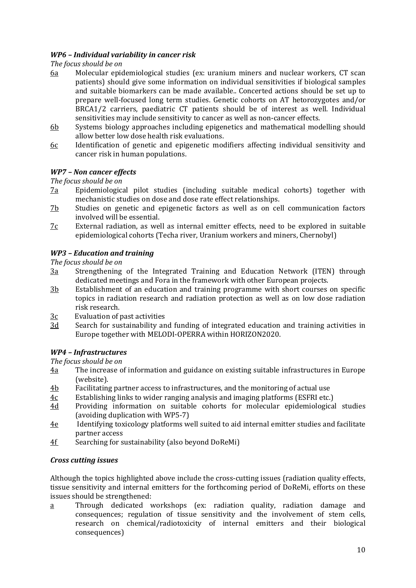# *WP6 – Individual variability in cancer risk*

### *The focus should be on*

- 6a Molecular epidemiological studies (ex: uranium miners and nuclear workers, CT scan patients) should give some information on individual sensitivities if biological samples and suitable biomarkers can be made available.. Concerted actions should be set up to prepare well-focused long term studies. Genetic cohorts on AT hetorozygotes and/or BRCA1/2 carriers, paediatric CT patients should be of interest as well. Individual sensitivities may include sensitivity to cancer as well as non-cancer effects.
- 6b Systems biology approaches including epigenetics and mathematical modelling should allow better low dose health risk evaluations.
- 6c Identification of genetic and epigenetic modifiers affecting individual sensitivity and cancer risk in human populations.

#### *WP7 – Non cancer effects*

#### *The focus should be on*

- 7a Epidemiological pilot studies (including suitable medical cohorts) together with mechanistic studies on dose and dose rate effect relationships.
- 7b Studies on genetic and epigenetic factors as well as on cell communication factors involved will be essential.
- $7c$  External radiation, as well as internal emitter effects, need to be explored in suitable epidemiological cohorts (Techa river, Uranium workers and miners, Chernobyl)

# *WP3 – Education and training*

#### *The focus should be on*

- 3a Strengthening of the Integrated Training and Education Network (ITEN) through dedicated meetings and Fora in the framework with other European projects.
- 3b Establishment of an education and training programme with short courses on specific topics in radiation research and radiation protection as well as on low dose radiation risk research.
- $\frac{3c}{3d}$  Evaluation of past activities<br>3d Search for sustainability an
- Search for sustainability and funding of integrated education and training activities in Europe together with MELODI-OPERRA within HORIZON2020.

# *WP4 – Infrastructures*

#### *The focus should be on*

- 4a The increase of information and guidance on existing suitable infrastructures in Europe (website).
- $\frac{4b}{4c}$  Facilitating partner access to infrastructures, and the monitoring of actual use<br>4c Establishing links to wider ranging analysis and imaging platforms (ESFRI etc.)
- $\frac{4c}{4d}$  Establishing links to wider ranging analysis and imaging platforms (ESFRI etc.)<br>4d Providing information on suitable cohorts for molecular epidemiologica
- Providing information on suitable cohorts for molecular epidemiological studies (avoiding duplication with WP5-7)
- 4e Identifying toxicology platforms well suited to aid internal emitter studies and facilitate partner access
- 4f Searching for sustainability (also beyond DoReMi)

#### *Cross cutting issues*

Although the topics highlighted above include the cross-cutting issues (radiation quality effects, tissue sensitivity and internal emitters for the forthcoming period of DoReMi, efforts on these issues should be strengthened:

a Through dedicated workshops (ex: radiation quality, radiation damage and consequences; regulation of tissue sensitivity and the involvement of stem cells, research on chemical/radiotoxicity of internal emitters and their biological consequences)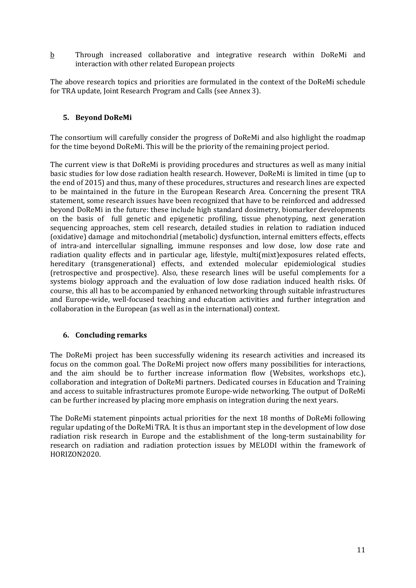b Through increased collaborative and integrative research within DoReMi and interaction with other related European projects

The above research topics and priorities are formulated in the context of the DoReMi schedule for TRA update, Joint Research Program and Calls (see Annex 3).

#### <span id="page-10-0"></span>**5. Beyond DoReMi**

The consortium will carefully consider the progress of DoReMi and also highlight the roadmap for the time beyond DoReMi. This will be the priority of the remaining project period.

The current view is that DoReMi is providing procedures and structures as well as many initial basic studies for low dose radiation health research. However, DoReMi is limited in time (up to the end of 2015) and thus, many of these procedures, structures and research lines are expected to be maintained in the future in the European Research Area. Concerning the present TRA statement, some research issues have been recognized that have to be reinforced and addressed beyond DoReMi in the future: these include high standard dosimetry, biomarker developments on the basis of full genetic and epigenetic profiling, tissue phenotyping, next generation sequencing approaches, stem cell research, detailed studies in relation to radiation induced (oxidative) damage and mitochondrial (metabolic) dysfunction, internal emitters effects, effects of intra-and intercellular signalling, immune responses and low dose, low dose rate and radiation quality effects and in particular age, lifestyle, multi(mixt)exposures related effects, hereditary (transgenerational) effects, and extended molecular epidemiological studies (retrospective and prospective). Also, these research lines will be useful complements for a systems biology approach and the evaluation of low dose radiation induced health risks. Of course, this all has to be accompanied by enhanced networking through suitable infrastructures and Europe-wide, well-focused teaching and education activities and further integration and collaboration in the European (as well as in the international) context.

# <span id="page-10-1"></span>**6. Concluding remarks**

The DoReMi project has been successfully widening its research activities and increased its focus on the common goal. The DoReMi project now offers many possibilities for interactions, and the aim should be to further increase information flow (Websites, workshops etc.), collaboration and integration of DoReMi partners. Dedicated courses in Education and Training and access to suitable infrastructures promote Europe-wide networking. The output of DoReMi can be further increased by placing more emphasis on integration during the next years.

The DoReMi statement pinpoints actual priorities for the next 18 months of DoReMi following regular updating of the DoReMi TRA. It is thus an important step in the development of low dose radiation risk research in Europe and the establishment of the long-term sustainability for research on radiation and radiation protection issues by MELODI within the framework of HORIZON2020.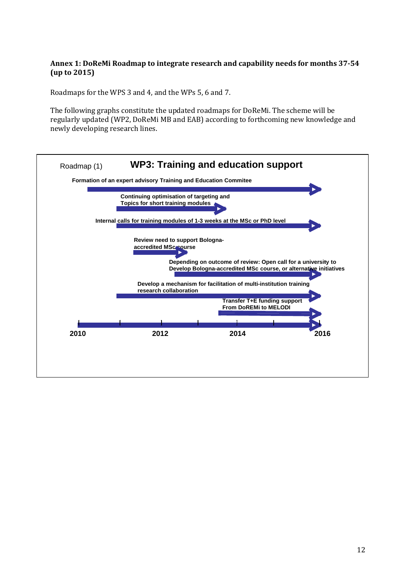#### <span id="page-11-0"></span>**Annex 1: DoReMi Roadmap to integrate research and capability needs for months 37-54 (up to 2015)**

Roadmaps for the WPS 3 and 4, and the WPs 5, 6 and 7.

The following graphs constitute the updated roadmaps for DoReMi. The scheme will be regularly updated (WP2, DoReMi MB and EAB) according to forthcoming new knowledge and newly developing research lines.

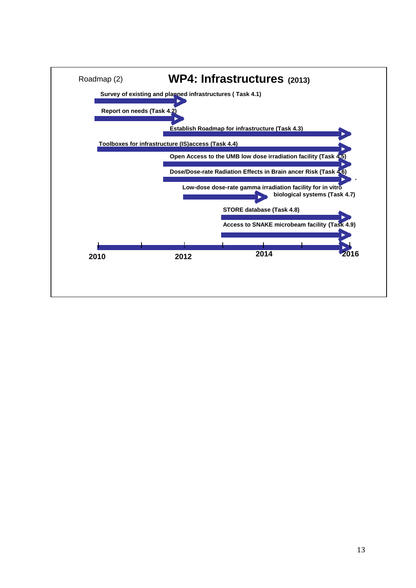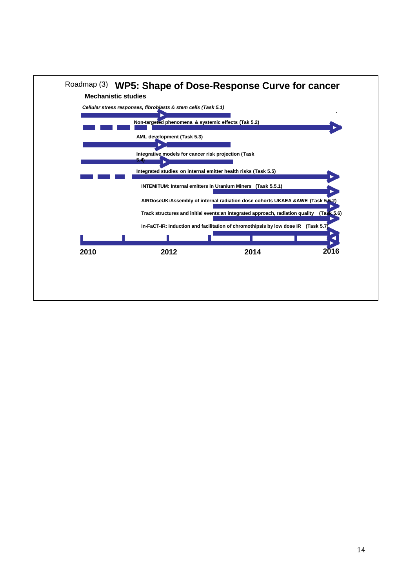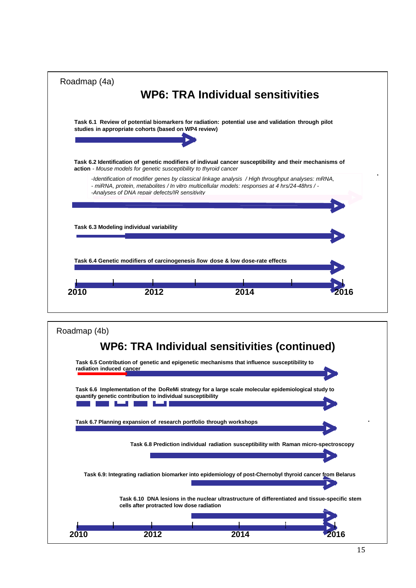|                                          | <b>WP6: TRA Individual sensitivities</b>                                                                                                                                     |
|------------------------------------------|------------------------------------------------------------------------------------------------------------------------------------------------------------------------------|
|                                          | Task 6.1 Review of potential biomarkers for radiation: potential use and validation through pilot<br>studies in appropriate cohorts (based on WP4 review)                    |
|                                          | Task 6.2 Identification of genetic modifiers of indivual cancer susceptibility and their mechanisms of<br>action - Mouse models for genetic susceptibility to thyroid cancer |
|                                          | -Identification of modifier genes by classical linkage analysis / High throughput analyses: mRNA,                                                                            |
|                                          | - miRNA, protein, metabolites / In vitro multicellular models: responses at 4 hrs/24-48hrs / -<br>-Analyses of DNA repair defects/IR sensitivity                             |
| Task 6.3 Modeling individual variability |                                                                                                                                                                              |
|                                          |                                                                                                                                                                              |
|                                          | Task 6.4 Genetic modifiers of carcinogenesis /low dose & low dose-rate effects                                                                                               |

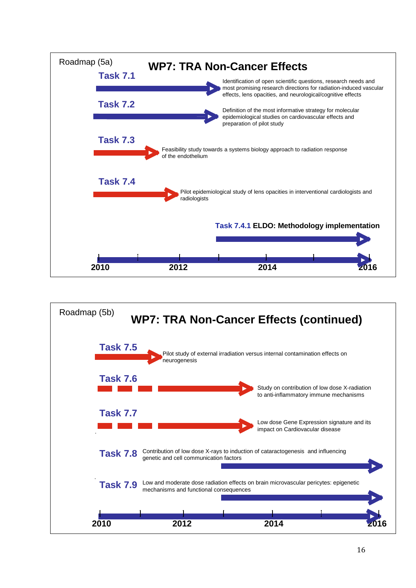

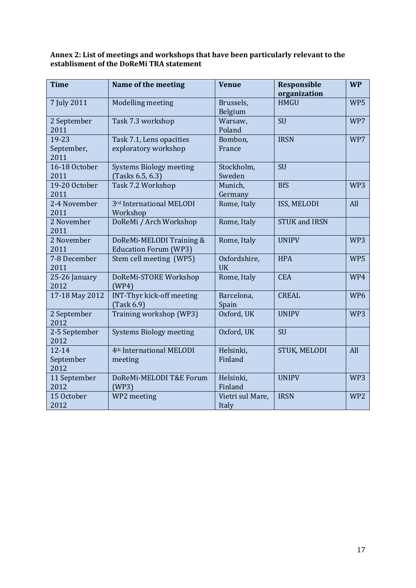#### <span id="page-16-0"></span>**Annex 2: List of meetings and workshops that have been particularly relevant to the establisment of the DoReMi TRA statement**

| <b>Time</b>                    | Name of the meeting                                       | <b>Venue</b>              | <b>Responsible</b><br>organization | <b>WP</b>       |
|--------------------------------|-----------------------------------------------------------|---------------------------|------------------------------------|-----------------|
| 7 July 2011                    | Modelling meeting                                         | Brussels,<br>Belgium      | <b>HMGU</b>                        | WP5             |
| 2 September<br>2011            | Task 7.3 workshop                                         | Warsaw,<br>Poland         | <b>SU</b>                          | WP7             |
| 19-23<br>September,<br>2011    | Task 7.1, Lens opacities<br>exploratory workshop          | Bombon,<br>France         | <b>IRSN</b>                        | WP7             |
| 16-18 October<br>2011          | <b>Systems Biology meeting</b><br>(Tasks 6.5, 6.3)        | Stockholm,<br>Sweden      | <b>SU</b>                          |                 |
| 19-20 October<br>2011          | Task 7.2 Workshop                                         | Munich,<br>Germany        | <b>BfS</b>                         | WP3             |
| 2-4 November<br>2011           | 3rd International MELODI<br>Workshop                      | Rome, Italy               | ISS, MELODI                        | All             |
| 2 November<br>2011             | DoReMi / Arch Workshop                                    | Rome, Italy               | <b>STUK and IRSN</b>               |                 |
| 2 November<br>2011             | DoReMi-MELODI Training &<br><b>Education Forum (WP3)</b>  | Rome, Italy               | <b>UNIPV</b>                       | WP3             |
| 7-8 December<br>2011           | Stem cell meeting (WP5)                                   | Oxfordshire,<br><b>UK</b> | <b>HPA</b>                         | WP5             |
| 25-26 January<br>2012          | DoReMi-STORE Workshop<br>(WP4)                            | Rome, Italy               | <b>CEA</b>                         | WP4             |
| 17-18 May 2012                 | <b>INT-Thyr kick-off meeting</b><br>$\textsf{(Task 6.9)}$ | Barcelona,<br>Spain       | <b>CREAL</b>                       | WP <sub>6</sub> |
| 2 September<br>2012            | Training workshop (WP3)                                   | Oxford, UK                | <b>UNIPV</b>                       | WP3             |
| 2-5 September<br>2012          | <b>Systems Biology meeting</b>                            | Oxford, UK                | <b>SU</b>                          |                 |
| $12 - 14$<br>September<br>2012 | 4 <sup>th</sup> International MELODI<br>meeting           | Helsinki,<br>Finland      | STUK, MELODI                       | All             |
| 11 September<br>2012           | DoReMi-MELODI T&E Forum<br>(WP3)                          | Helsinki,<br>Finland      | <b>UNIPV</b>                       | WP3             |
| 15 October<br>2012             | WP2 meeting                                               | Vietri sul Mare,<br>Italy | <b>IRSN</b>                        | WP <sub>2</sub> |